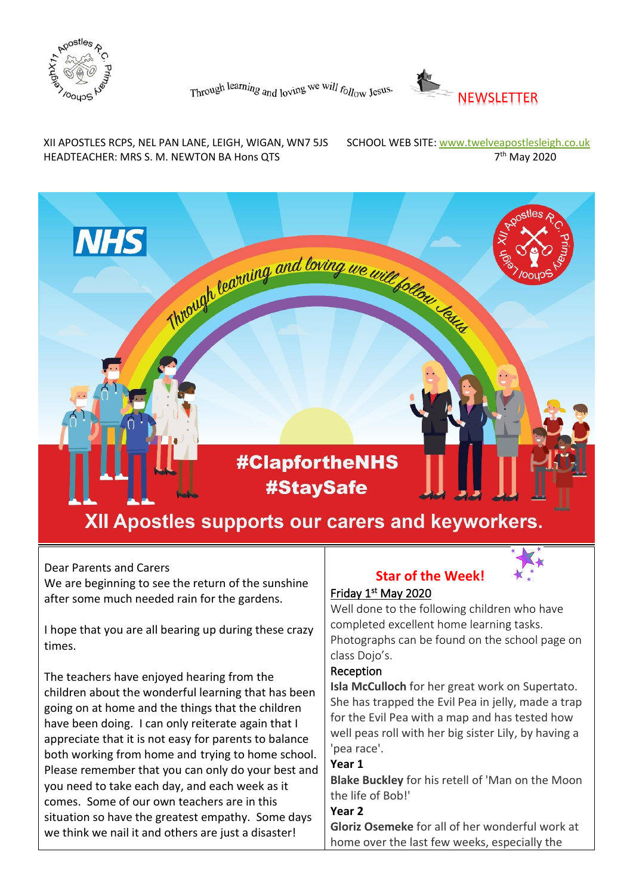



XII APOSTLES RCPS, NEL PAN LANE, LEIGH, WIGAN, WN7 5JS SCHOOL WEB SITE: www.twelveapostlesleigh.co.uk HEADTEACHER: MRS S. M. NEWTON BA Hons QTS 7

7<sup>th</sup> May 2020



#### Dear Parents and Carers

We are beginning to see the return of the sunshine after some much needed rain for the gardens.

I hope that you are all bearing up during these crazy times.

The teachers have enjoyed hearing from the children about the wonderful learning that has been going on at home and the things that the children have been doing. I can only reiterate again that I appreciate that it is not easy for parents to balance both working from home and trying to home school. Please remember that you can only do your best and you need to take each day, and each week as it comes. Some of our own teachers are in this situation so have the greatest empathy. Some days we think we nail it and others are just a disaster!

### **Star of the Week!**



### Friday 1st May 2020

Well done to the following children who have completed excellent home learning tasks. Photographs can be found on the school page on class Dojo's.

#### Reception

**Isla McCulloch** for her great work on Supertato. She has trapped the Evil Pea in jelly, made a trap for the Evil Pea with a map and has tested how well peas roll with her big sister Lily, by having a 'pea race'.

#### **Year 1**

**Blake Buckley** for his retell of 'Man on the Moon the life of Bob!'

#### **Year 2**

**Gloriz Osemeke** for all of her wonderful work at home over the last few weeks, especially the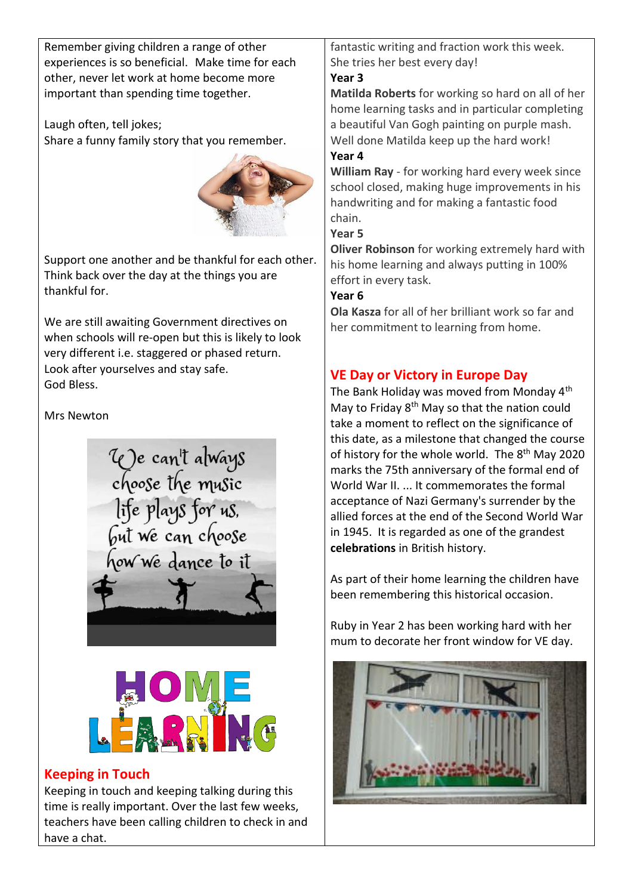Remember giving children a range of other experiences is so beneficial. Make time for each other, never let work at home become more important than spending time together.

Laugh often, tell jokes; Share a funny family story that you remember.



Support one another and be thankful for each other. Think back over the day at the things you are thankful for.

We are still awaiting Government directives on when schools will re-open but this is likely to look very different i.e. staggered or phased return. Look after yourselves and stay safe. God Bless.

Mrs Newton

We can't always<br>choose the music<br>life plays for us,<br>but we can choose how we dance to it



## **Keeping in Touch**

Keeping in touch and keeping talking during this time is really important. Over the last few weeks, teachers have been calling children to check in and have a chat.

fantastic writing and fraction work this week. She tries her best every day!

## **Year 3**

**Matilda Roberts** for working so hard on all of her home learning tasks and in particular completing a beautiful Van Gogh painting on purple mash. Well done Matilda keep up the hard work!

### **Year 4**

**William Ray** - for working hard every week since school closed, making huge improvements in his handwriting and for making a fantastic food chain.

### **Year 5**

**Oliver Robinson** for working extremely hard with his home learning and always putting in 100% effort in every task.

## **Year 6**

**Ola Kasza** for all of her brilliant work so far and her commitment to learning from home.

# **VE Day or Victory in Europe Day**

The Bank Holiday was moved from Monday 4<sup>th</sup> May to Friday 8<sup>th</sup> May so that the nation could take a moment to reflect on the significance of this date, as a milestone that changed the course of history for the whole world. The 8<sup>th</sup> May 2020 marks the 75th anniversary of the formal end of World War II. ... It commemorates the formal acceptance of Nazi Germany's surrender by the allied forces at the end of the Second World War in 1945. It is regarded as one of the grandest **celebrations** in British history.

As part of their home learning the children have been remembering this historical occasion.

Ruby in Year 2 has been working hard with her mum to decorate her front window for VE day.

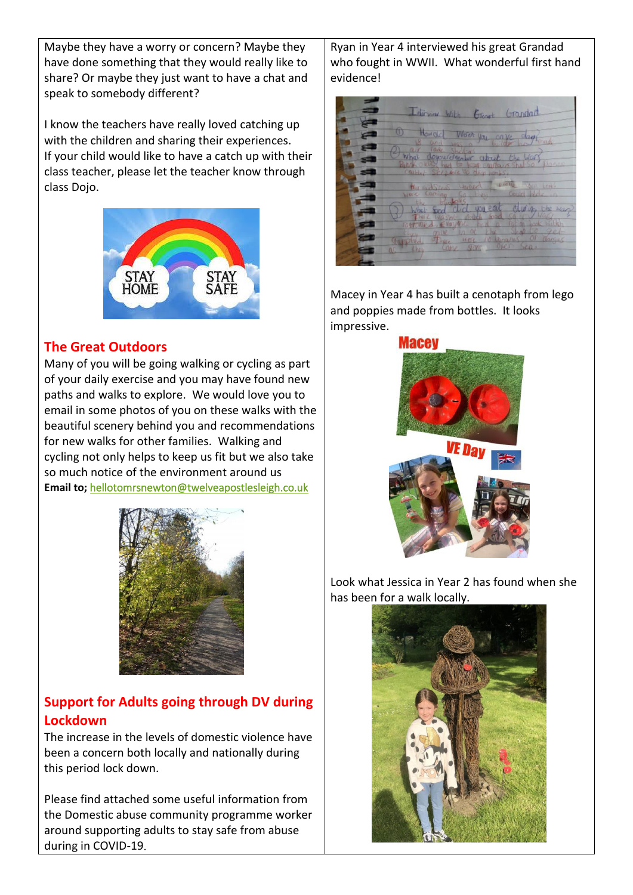Maybe they have a worry or concern? Maybe they have done something that they would really like to share? Or maybe they just want to have a chat and speak to somebody different?

I know the teachers have really loved catching up with the children and sharing their experiences. If your child would like to have a catch up with their class teacher, please let the teacher know through class Dojo.



## **The Great Outdoors**

Many of you will be going walking or cycling as part of your daily exercise and you may have found new paths and walks to explore. We would love you to email in some photos of you on these walks with the beautiful scenery behind you and recommendations for new walks for other families. Walking and cycling not only helps to keep us fit but we also take so much notice of the environment around us **Email to;** [hellotomrsnewton@twelveapostlesleigh.co.uk](file:///C:/Users/marsdenc/AppData/Local/Microsoft/Windows/INetCache/IE/YNQF2IJI/hellotomrsnewton@twelveapostlesleigh.co.uk) 



# **Support for Adults going through DV during Lockdown**

The increase in the levels of domestic violence have been a concern both locally and nationally during this period lock down.

Please find attached some useful information from the Domestic abuse community programme worker around supporting adults to stay safe from abuse during in COVID-19.

Ryan in Year 4 interviewed his great Grandad who fought in WWII. What wonderful first hand evidence!

Interview With Export Grandad Howard Wood you anye day What downlettenber about the for did you eat during

Macey in Year 4 has built a cenotaph from lego and poppies made from bottles. It looks impressive.



Look what Jessica in Year 2 has found when she has been for a walk locally.